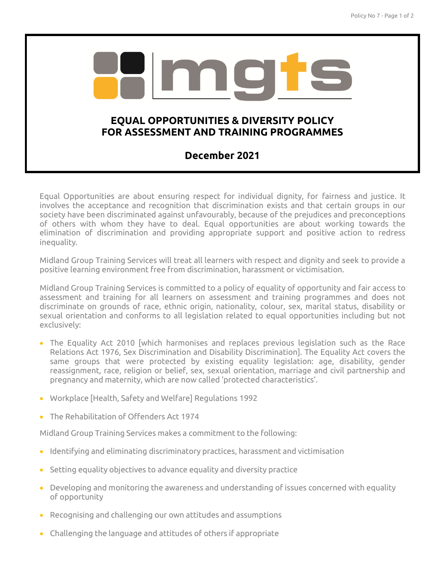

## **FOR ASSESSMENT AND TRAINING PROGRAMMES**

## **December 2021**

Equal Opportunities are about ensuring respect for individual dignity, for fairness and justice. It involves the acceptance and recognition that discrimination exists and that certain groups in our society have been discriminated against unfavourably, because of the prejudices and preconceptions of others with whom they have to deal. Equal opportunities are about working towards the elimination of discrimination and providing appropriate support and positive action to redress inequality.

Midland Group Training Services will treat all learners with respect and dignity and seek to provide a positive learning environment free from discrimination, harassment or victimisation.

Midland Group Training Services is committed to a policy of equality of opportunity and fair access to assessment and training for all learners on assessment and training programmes and does not discriminate on grounds of race, ethnic origin, nationality, colour, sex, marital status, disability or sexual orientation and conforms to all legislation related to equal opportunities including but not exclusively:

- The Equality Act 2010 [which harmonises and replaces previous legislation such as the Race Relations Act 1976, Sex Discrimination and Disability Discrimination]. The Equality Act covers the same groups that were protected by existing equality legislation: age, disability, gender reassignment, race, religion or belief, sex, sexual orientation, marriage and civil partnership and pregnancy and maternity, which are now called 'protected characteristics'.
- Workplace [Health, Safety and Welfare] Regulations 1992
- The Rehabilitation of Offenders Act 1974

Midland Group Training Services makes a commitment to the following:

- Identifying and eliminating discriminatory practices, harassment and victimisation
- Setting equality objectives to advance equality and diversity practice
- Developing and monitoring the awareness and understanding of issues concerned with equality of opportunity
- Recognising and challenging our own attitudes and assumptions
- Challenging the language and attitudes of others if appropriate